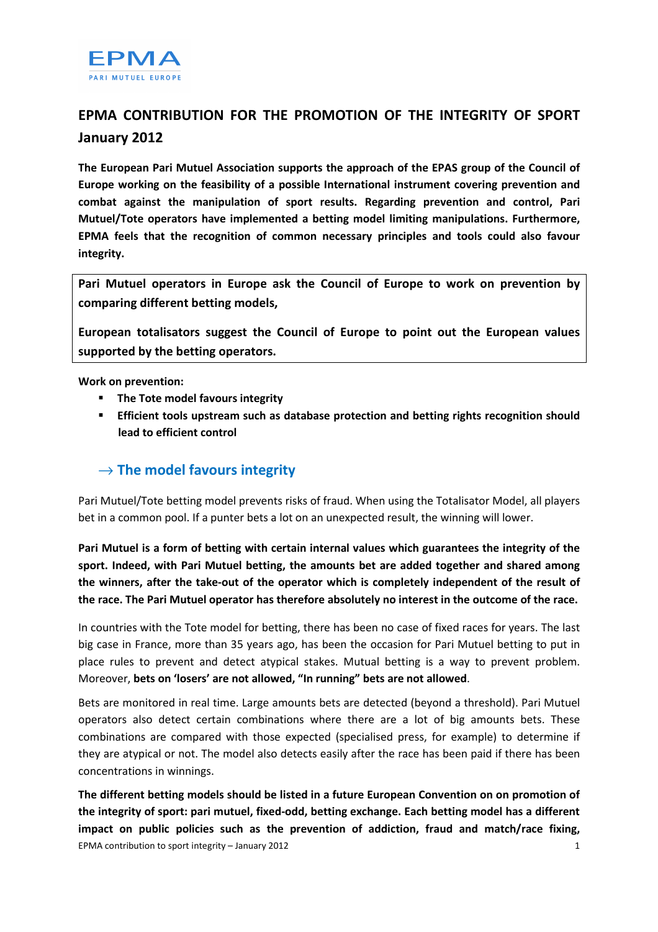

# EPMA CONTRIBUTION FOR THE PROMOTION OF THE INTEGRITY OF SPORT January 2012

The European Pari Mutuel Association supports the approach of the EPAS group of the Council of Europe working on the feasibility of a possible International instrument covering prevention and combat against the manipulation of sport results. Regarding prevention and control, Pari Mutuel/Tote operators have implemented a betting model limiting manipulations. Furthermore, EPMA feels that the recognition of common necessary principles and tools could also favour integrity.

Pari Mutuel operators in Europe ask the Council of Europe to work on prevention by comparing different betting models,

European totalisators suggest the Council of Europe to point out the European values supported by the betting operators.

Work on prevention:

- **The Tote model favours integrity**
- Efficient tools upstream such as database protection and betting rights recognition should lead to efficient control

## $\rightarrow$  The model favours integrity

Pari Mutuel/Tote betting model prevents risks of fraud. When using the Totalisator Model, all players bet in a common pool. If a punter bets a lot on an unexpected result, the winning will lower.

Pari Mutuel is a form of betting with certain internal values which guarantees the integrity of the sport. Indeed, with Pari Mutuel betting, the amounts bet are added together and shared among the winners, after the take-out of the operator which is completely independent of the result of the race. The Pari Mutuel operator has therefore absolutely no interest in the outcome of the race.

In countries with the Tote model for betting, there has been no case of fixed races for years. The last big case in France, more than 35 years ago, has been the occasion for Pari Mutuel betting to put in place rules to prevent and detect atypical stakes. Mutual betting is a way to prevent problem. Moreover, bets on 'losers' are not allowed, "In running" bets are not allowed.

Bets are monitored in real time. Large amounts bets are detected (beyond a threshold). Pari Mutuel operators also detect certain combinations where there are a lot of big amounts bets. These combinations are compared with those expected (specialised press, for example) to determine if they are atypical or not. The model also detects easily after the race has been paid if there has been concentrations in winnings.

EPMA contribution to sport integrity – January 2012 1 The different betting models should be listed in a future European Convention on on promotion of the integrity of sport: pari mutuel, fixed-odd, betting exchange. Each betting model has a different impact on public policies such as the prevention of addiction, fraud and match/race fixing,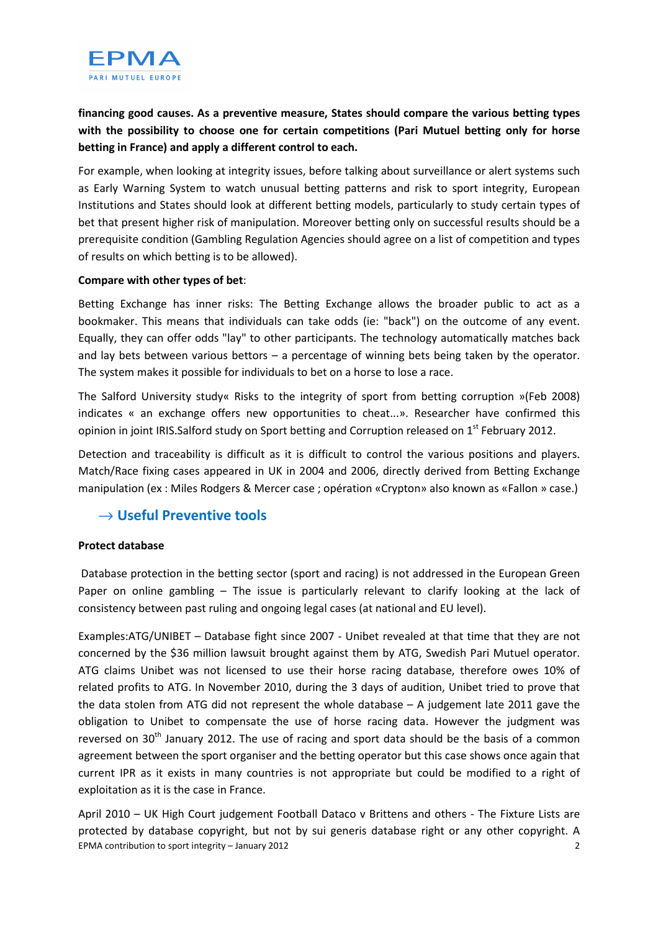

## financing good causes. As a preventive measure, States should compare the various betting types with the possibility to choose one for certain competitions (Pari Mutuel betting only for horse betting in France) and apply a different control to each.

For example, when looking at integrity issues, before talking about surveillance or alert systems such as Early Warning System to watch unusual betting patterns and risk to sport integrity, European Institutions and States should look at different betting models, particularly to study certain types of bet that present higher risk of manipulation. Moreover betting only on successful results should be a prerequisite condition (Gambling Regulation Agencies should agree on a list of competition and types of results on which betting is to be allowed).

#### Compare with other types of bet:

Betting Exchange has inner risks: The Betting Exchange allows the broader public to act as a bookmaker. This means that individuals can take odds (ie: "back") on the outcome of any event. Equally, they can offer odds "lay" to other participants. The technology automatically matches back and lay bets between various bettors – a percentage of winning bets being taken by the operator. The system makes it possible for individuals to bet on a horse to lose a race.

The Salford University study« Risks to the integrity of sport from betting corruption »(Feb 2008) indicates « an exchange offers new opportunities to cheat...». Researcher have confirmed this opinion in joint IRIS. Salford study on Sport betting and Corruption released on 1<sup>st</sup> February 2012.

Detection and traceability is difficult as it is difficult to control the various positions and players. Match/Race fixing cases appeared in UK in 2004 and 2006, directly derived from Betting Exchange manipulation (ex : Miles Rodgers & Mercer case ; opération «Crypton» also known as «Fallon » case.)

## $\rightarrow$  Useful Preventive tools

### Protect database

 Database protection in the betting sector (sport and racing) is not addressed in the European Green Paper on online gambling – The issue is particularly relevant to clarify looking at the lack of consistency between past ruling and ongoing legal cases (at national and EU level).

Examples:ATG/UNIBET – Database fight since 2007 - Unibet revealed at that time that they are not concerned by the \$36 million lawsuit brought against them by ATG, Swedish Pari Mutuel operator. ATG claims Unibet was not licensed to use their horse racing database, therefore owes 10% of related profits to ATG. In November 2010, during the 3 days of audition, Unibet tried to prove that the data stolen from ATG did not represent the whole database  $- A$  judgement late 2011 gave the obligation to Unibet to compensate the use of horse racing data. However the judgment was reversed on  $30<sup>th</sup>$  January 2012. The use of racing and sport data should be the basis of a common agreement between the sport organiser and the betting operator but this case shows once again that current IPR as it exists in many countries is not appropriate but could be modified to a right of exploitation as it is the case in France.

EPMA contribution to sport integrity – January 2012 2 April 2010 – UK High Court judgement Football Dataco v Brittens and others - The Fixture Lists are protected by database copyright, but not by sui generis database right or any other copyright. A